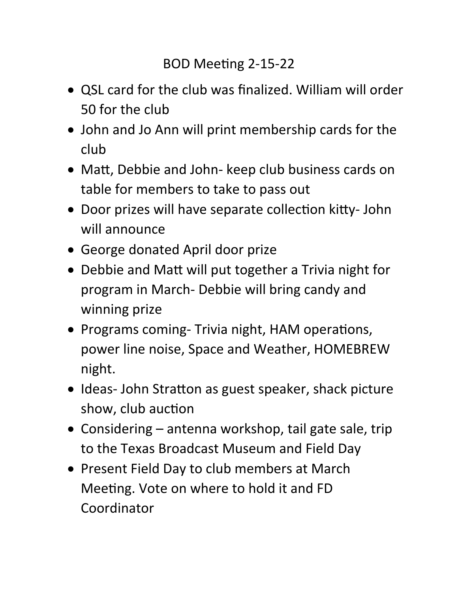- QSL card for the club was finalized. William will order 50 for the club
- John and Jo Ann will print membership cards for the club
- Matt, Debbie and John- keep club business cards on table for members to take to pass out
- Door prizes will have separate collection kitty- John will announce
- George donated April door prize
- Debbie and Matt will put together a Trivia night for program in March- Debbie will bring candy and winning prize
- Programs coming- Trivia night, HAM operations, power line noise, Space and Weather, HOMEBREW night.
- Ideas- John Stratton as guest speaker, shack picture show, club auction
- Considering antenna workshop, tail gate sale, trip to the Texas Broadcast Museum and Field Day
- Present Field Day to club members at March Meeting. Vote on where to hold it and FD Coordinator